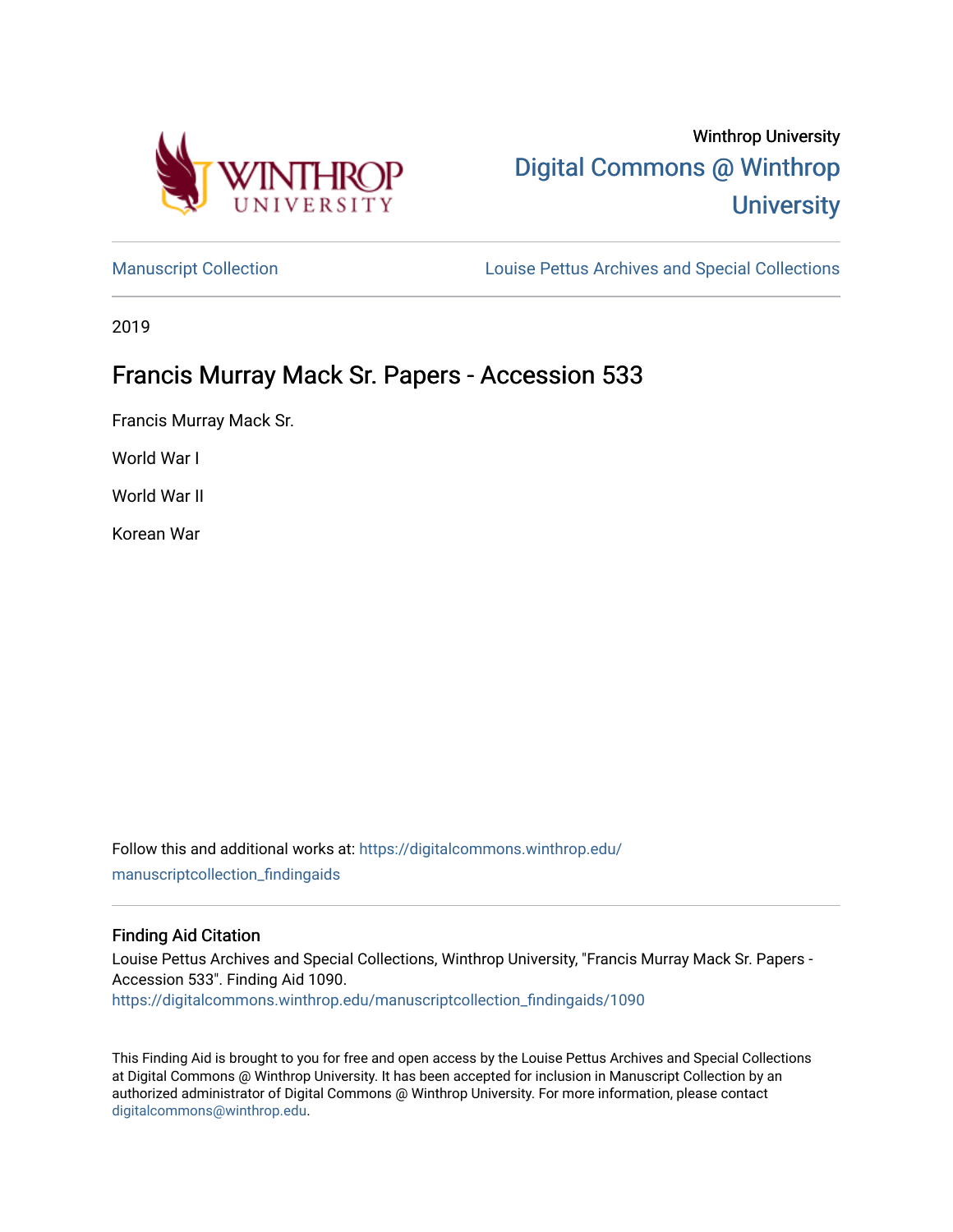

# Winthrop University [Digital Commons @ Winthrop](https://digitalcommons.winthrop.edu/)  **University**

[Manuscript Collection](https://digitalcommons.winthrop.edu/manuscriptcollection_findingaids) **Louise Pettus Archives and Special Collections** 

2019

# Francis Murray Mack Sr. Papers - Accession 533

Francis Murray Mack Sr.

World War I

World War II

Korean War

Follow this and additional works at: [https://digitalcommons.winthrop.edu/](https://digitalcommons.winthrop.edu/manuscriptcollection_findingaids?utm_source=digitalcommons.winthrop.edu%2Fmanuscriptcollection_findingaids%2F1090&utm_medium=PDF&utm_campaign=PDFCoverPages) [manuscriptcollection\\_findingaids](https://digitalcommons.winthrop.edu/manuscriptcollection_findingaids?utm_source=digitalcommons.winthrop.edu%2Fmanuscriptcollection_findingaids%2F1090&utm_medium=PDF&utm_campaign=PDFCoverPages) 

#### Finding Aid Citation

Louise Pettus Archives and Special Collections, Winthrop University, "Francis Murray Mack Sr. Papers - Accession 533". Finding Aid 1090. [https://digitalcommons.winthrop.edu/manuscriptcollection\\_findingaids/1090](https://digitalcommons.winthrop.edu/manuscriptcollection_findingaids/1090?utm_source=digitalcommons.winthrop.edu%2Fmanuscriptcollection_findingaids%2F1090&utm_medium=PDF&utm_campaign=PDFCoverPages) 

This Finding Aid is brought to you for free and open access by the Louise Pettus Archives and Special Collections at Digital Commons @ Winthrop University. It has been accepted for inclusion in Manuscript Collection by an authorized administrator of Digital Commons @ Winthrop University. For more information, please contact [digitalcommons@winthrop.edu](mailto:digitalcommons@winthrop.edu).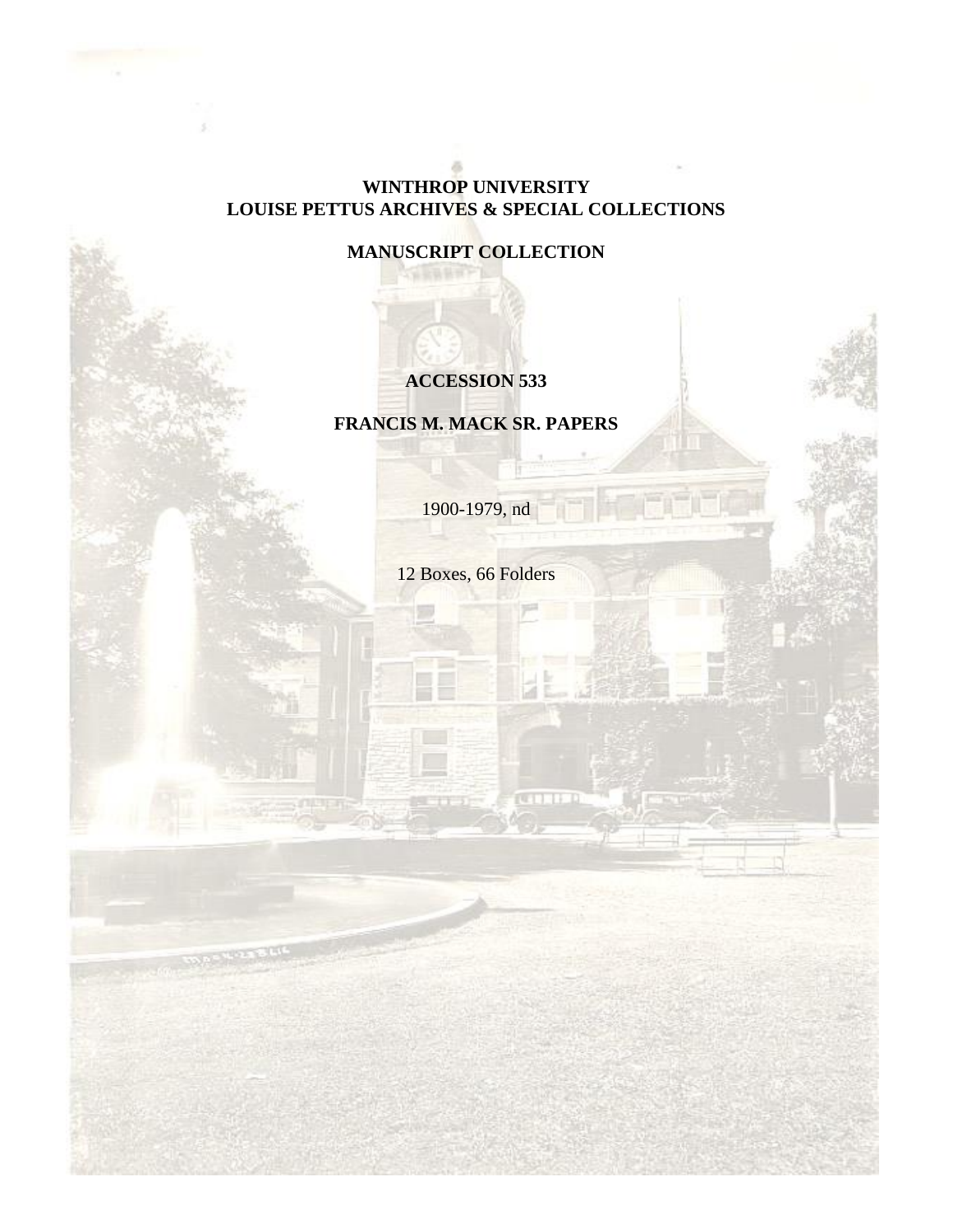#### **WINTHROP UNIVERSITY LOUISE PETTUS ARCHIVES & SPECIAL COLLECTIONS**

**MANUSCRIPT COLLECTION**

## **ACCESSION 533**

**FRANCIS M. MACK SR. PAPERS**

1900-1979, nd

12 Boxes, 66 Folders

**CATTLE D**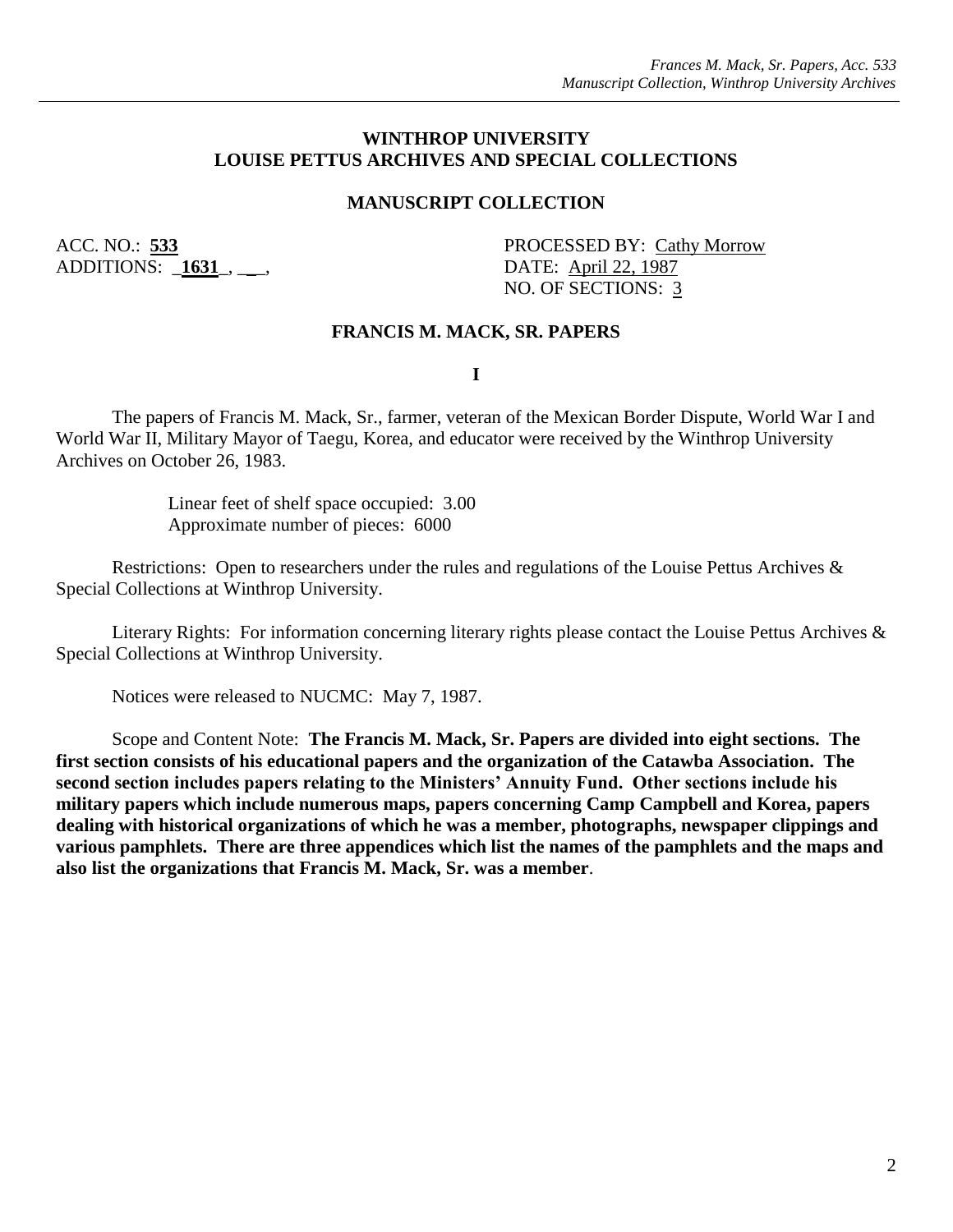#### **WINTHROP UNIVERSITY LOUISE PETTUS ARCHIVES AND SPECIAL COLLECTIONS**

#### **MANUSCRIPT COLLECTION**

ADDITIONS: \_**1631**\_, \_\_\_, DATE: April 22, 1987

ACC. NO.: 533 PROCESSED BY: Cathy Morrow NO. OF SECTIONS: 3

#### **FRANCIS M. MACK, SR. PAPERS**

**I**

The papers of Francis M. Mack, Sr., farmer, veteran of the Mexican Border Dispute, World War I and World War II, Military Mayor of Taegu, Korea, and educator were received by the Winthrop University Archives on October 26, 1983.

> Linear feet of shelf space occupied: 3.00 Approximate number of pieces: 6000

Restrictions: Open to researchers under the rules and regulations of the Louise Pettus Archives & Special Collections at Winthrop University.

Literary Rights: For information concerning literary rights please contact the Louise Pettus Archives & Special Collections at Winthrop University.

Notices were released to NUCMC: May 7, 1987.

Scope and Content Note: **The Francis M. Mack, Sr. Papers are divided into eight sections. The first section consists of his educational papers and the organization of the Catawba Association. The second section includes papers relating to the Ministers' Annuity Fund. Other sections include his military papers which include numerous maps, papers concerning Camp Campbell and Korea, papers dealing with historical organizations of which he was a member, photographs, newspaper clippings and various pamphlets. There are three appendices which list the names of the pamphlets and the maps and also list the organizations that Francis M. Mack, Sr. was a member**.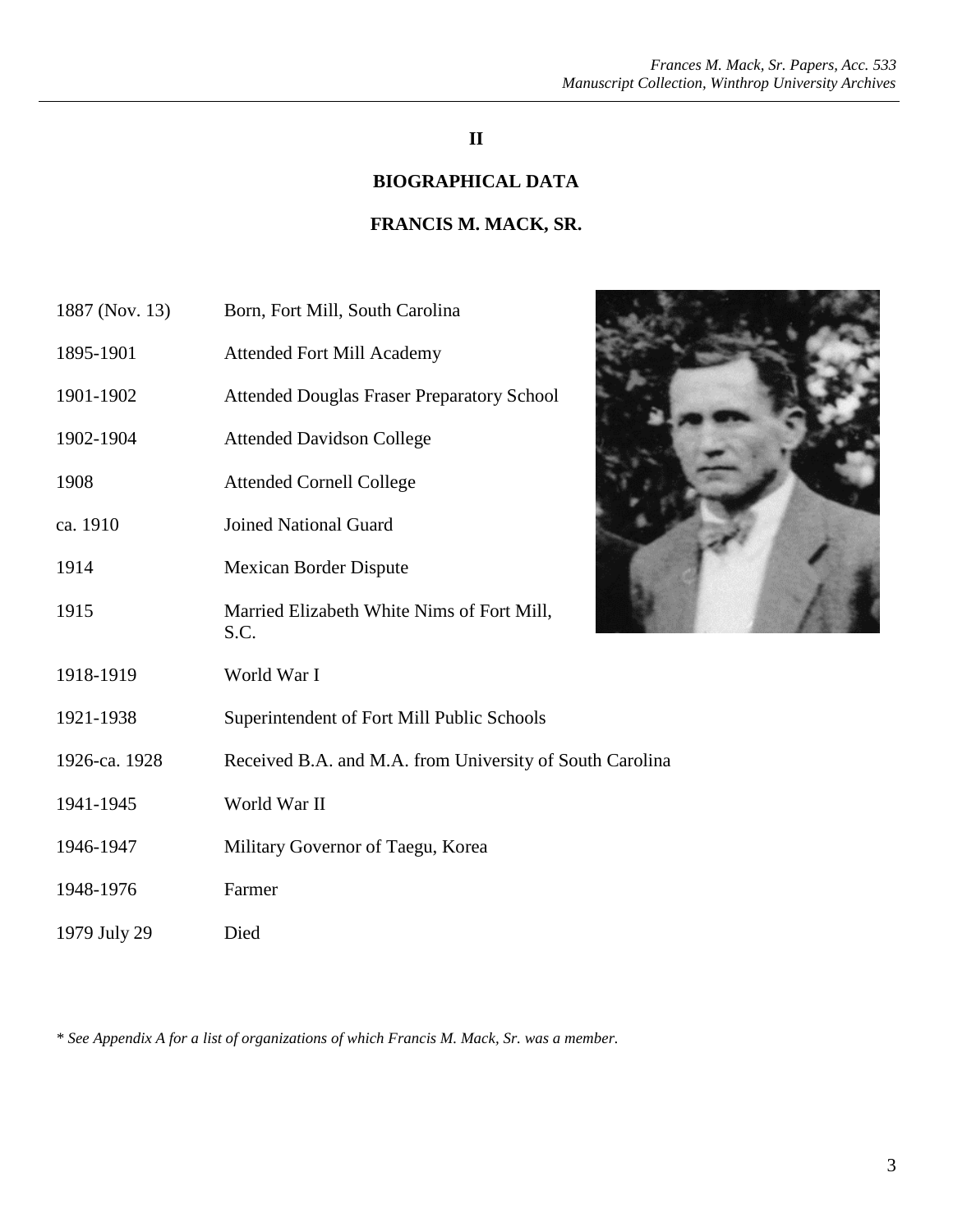## **II**

#### **BIOGRAPHICAL DATA**

## **FRANCIS M. MACK, SR.**

| 1887 (Nov. 13) | Born, Fort Mill, South Carolina                          |
|----------------|----------------------------------------------------------|
| 1895-1901      | <b>Attended Fort Mill Academy</b>                        |
| 1901-1902      | <b>Attended Douglas Fraser Preparatory School</b>        |
| 1902-1904      | <b>Attended Davidson College</b>                         |
| 1908           | <b>Attended Cornell College</b>                          |
| ca. 1910       | <b>Joined National Guard</b>                             |
| 1914           | <b>Mexican Border Dispute</b>                            |
| 1915           | Married Elizabeth White Nims of Fort Mill,<br>S.C.       |
| 1918-1919      | World War I                                              |
| 1921-1938      | Superintendent of Fort Mill Public Schools               |
| 1926-ca. 1928  | Received B.A. and M.A. from University of South Carolina |
| 1941-1945      | World War II                                             |
| 1946-1947      | Military Governor of Taegu, Korea                        |
| 1948-1976      | Farmer                                                   |
| 1979 July 29   | Died                                                     |

*\* See Appendix A for a list of organizations of which Francis M. Mack, Sr. was a member.*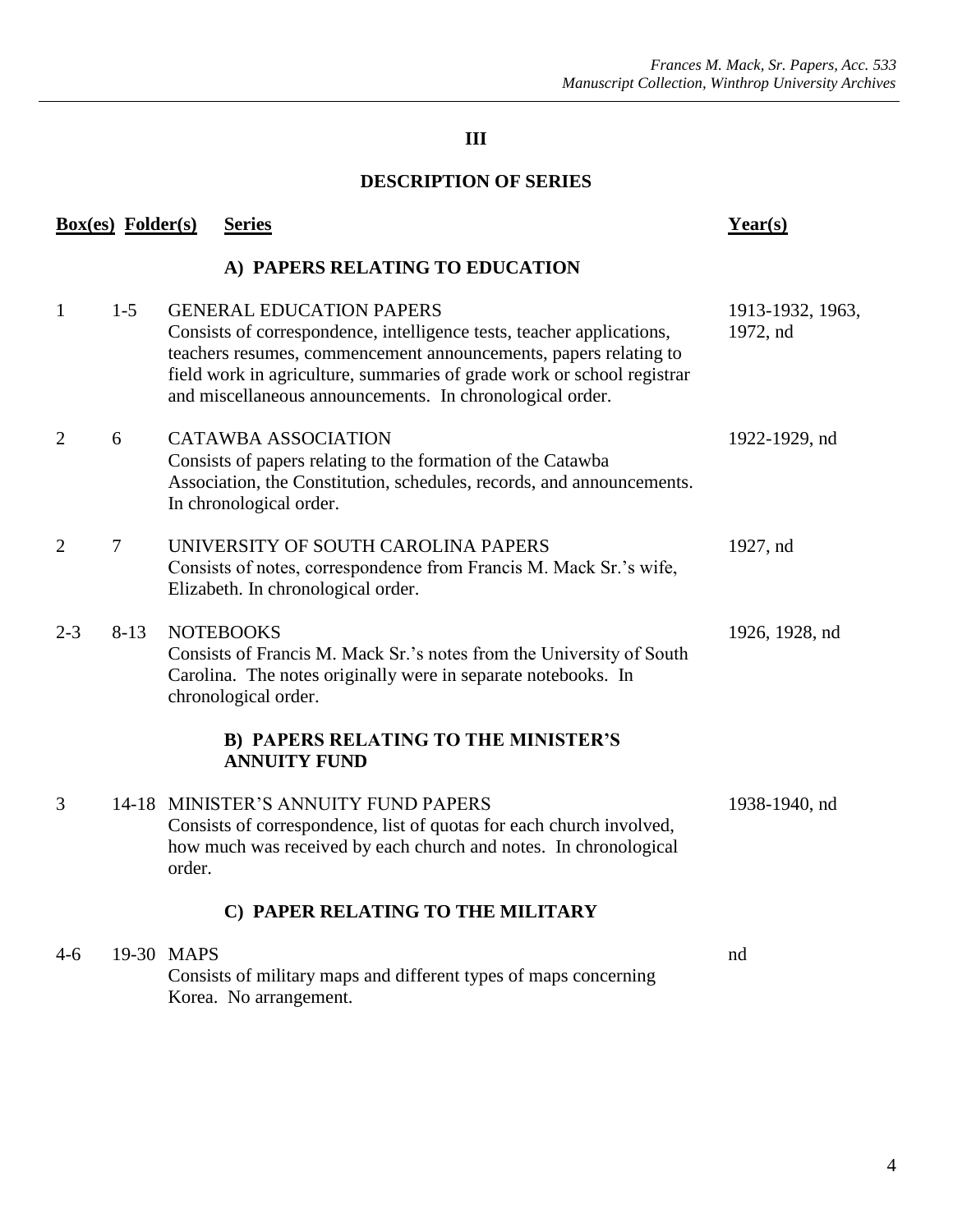## **DESCRIPTION OF SERIES**

|                | <b>Box(es)</b> Folder(s) | <b>Series</b>                                                                                                                                                                                                                                                                                                      | Year(s)                      |
|----------------|--------------------------|--------------------------------------------------------------------------------------------------------------------------------------------------------------------------------------------------------------------------------------------------------------------------------------------------------------------|------------------------------|
|                |                          | A) PAPERS RELATING TO EDUCATION                                                                                                                                                                                                                                                                                    |                              |
| $\mathbf{1}$   | $1-5$                    | <b>GENERAL EDUCATION PAPERS</b><br>Consists of correspondence, intelligence tests, teacher applications,<br>teachers resumes, commencement announcements, papers relating to<br>field work in agriculture, summaries of grade work or school registrar<br>and miscellaneous announcements. In chronological order. | 1913-1932, 1963,<br>1972, nd |
| $\overline{2}$ | 6                        | <b>CATAWBA ASSOCIATION</b><br>Consists of papers relating to the formation of the Catawba<br>Association, the Constitution, schedules, records, and announcements.<br>In chronological order.                                                                                                                      | 1922-1929, nd                |
| $\overline{2}$ | $\tau$                   | UNIVERSITY OF SOUTH CAROLINA PAPERS<br>Consists of notes, correspondence from Francis M. Mack Sr.'s wife,<br>Elizabeth. In chronological order.                                                                                                                                                                    | 1927, nd                     |
| $2 - 3$        | $8 - 13$                 | <b>NOTEBOOKS</b><br>Consists of Francis M. Mack Sr.'s notes from the University of South<br>Carolina. The notes originally were in separate notebooks. In<br>chronological order.                                                                                                                                  | 1926, 1928, nd               |
|                |                          | <b>B) PAPERS RELATING TO THE MINISTER'S</b><br><b>ANNUITY FUND</b>                                                                                                                                                                                                                                                 |                              |
| 3              |                          | 14-18 MINISTER'S ANNUITY FUND PAPERS<br>Consists of correspondence, list of quotas for each church involved,<br>how much was received by each church and notes. In chronological<br>order.                                                                                                                         | 1938-1940, nd                |
|                |                          | C) PAPER RELATING TO THE MILITARY                                                                                                                                                                                                                                                                                  |                              |
| $4-6$          |                          | 19-30 MAPS<br>Consists of military maps and different types of maps concerning<br>Korea. No arrangement.                                                                                                                                                                                                           | nd                           |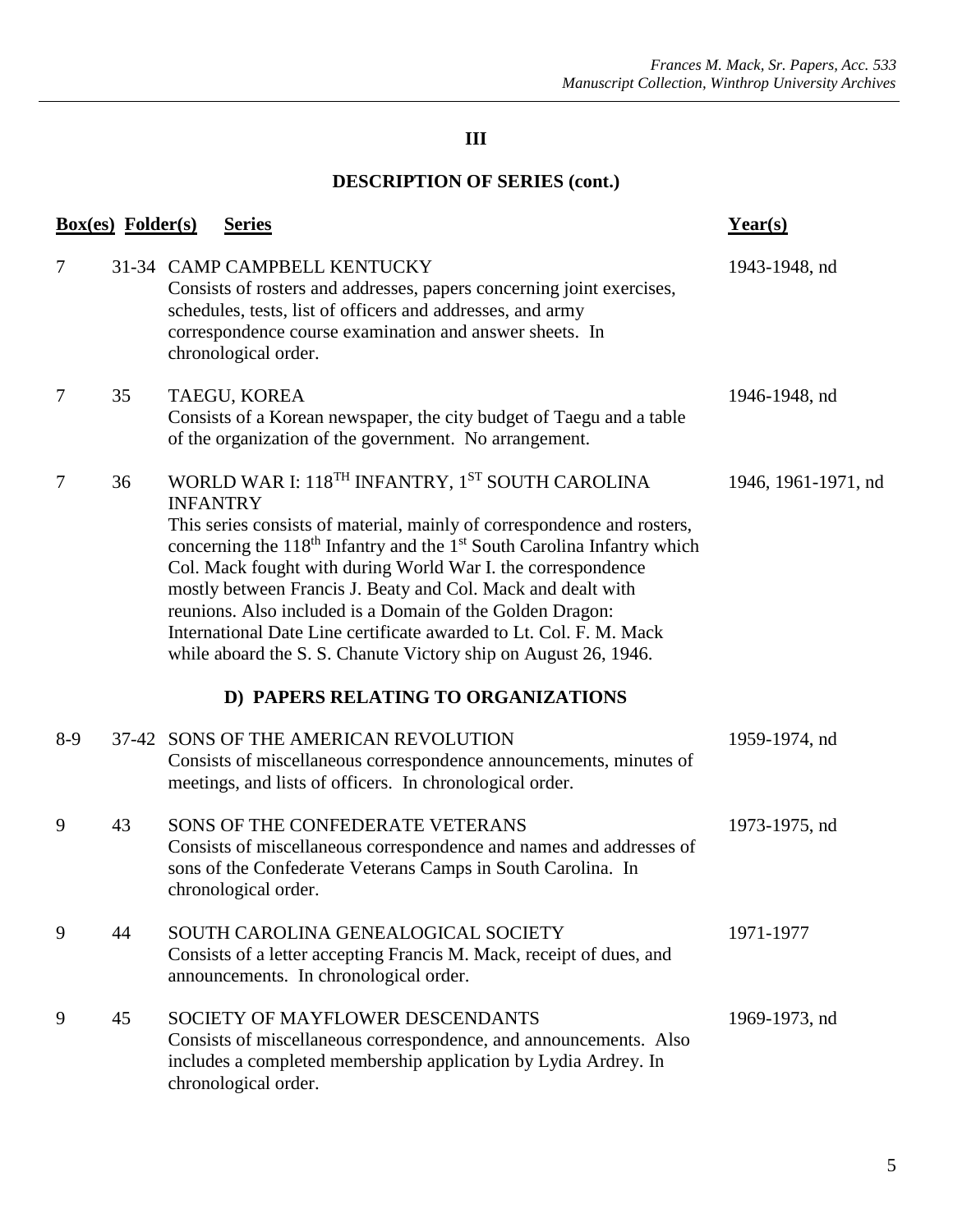|       | <b>Box(es)</b> Folder(s) | <b>Series</b>                                                                                                                                                                                                                                                                                                                                                                                                                                                                                                                                                                                                  | Year(s)             |
|-------|--------------------------|----------------------------------------------------------------------------------------------------------------------------------------------------------------------------------------------------------------------------------------------------------------------------------------------------------------------------------------------------------------------------------------------------------------------------------------------------------------------------------------------------------------------------------------------------------------------------------------------------------------|---------------------|
| 7     |                          | 31-34 CAMP CAMPBELL KENTUCKY<br>Consists of rosters and addresses, papers concerning joint exercises,<br>schedules, tests, list of officers and addresses, and army<br>correspondence course examination and answer sheets. In<br>chronological order.                                                                                                                                                                                                                                                                                                                                                         | 1943-1948, nd       |
| 7     | 35                       | TAEGU, KOREA<br>Consists of a Korean newspaper, the city budget of Taegu and a table<br>of the organization of the government. No arrangement.                                                                                                                                                                                                                                                                                                                                                                                                                                                                 | 1946-1948, nd       |
| 7     | 36                       | WORLD WAR I: 118 <sup>TH</sup> INFANTRY, 1 <sup>ST</sup> SOUTH CAROLINA<br><b>INFANTRY</b><br>This series consists of material, mainly of correspondence and rosters,<br>concerning the 118 <sup>th</sup> Infantry and the 1 <sup>st</sup> South Carolina Infantry which<br>Col. Mack fought with during World War I. the correspondence<br>mostly between Francis J. Beaty and Col. Mack and dealt with<br>reunions. Also included is a Domain of the Golden Dragon:<br>International Date Line certificate awarded to Lt. Col. F. M. Mack<br>while aboard the S. S. Chanute Victory ship on August 26, 1946. | 1946, 1961-1971, nd |
|       |                          | D) PAPERS RELATING TO ORGANIZATIONS                                                                                                                                                                                                                                                                                                                                                                                                                                                                                                                                                                            |                     |
| $8-9$ |                          | 37-42 SONS OF THE AMERICAN REVOLUTION<br>Consists of miscellaneous correspondence announcements, minutes of<br>meetings, and lists of officers. In chronological order.                                                                                                                                                                                                                                                                                                                                                                                                                                        | 1959-1974, nd       |
| 9     | 43                       | SONS OF THE CONFEDERATE VETERANS<br>Consists of miscellaneous correspondence and names and addresses of<br>sons of the Confederate Veterans Camps in South Carolina. In<br>chronological order.                                                                                                                                                                                                                                                                                                                                                                                                                | 1973-1975, nd       |
| 9     | 44                       | SOUTH CAROLINA GENEALOGICAL SOCIETY<br>Consists of a letter accepting Francis M. Mack, receipt of dues, and<br>announcements. In chronological order.                                                                                                                                                                                                                                                                                                                                                                                                                                                          | 1971-1977           |
| 9     | 45                       | SOCIETY OF MAYFLOWER DESCENDANTS<br>Consists of miscellaneous correspondence, and announcements. Also<br>includes a completed membership application by Lydia Ardrey. In<br>chronological order.                                                                                                                                                                                                                                                                                                                                                                                                               | 1969-1973, nd       |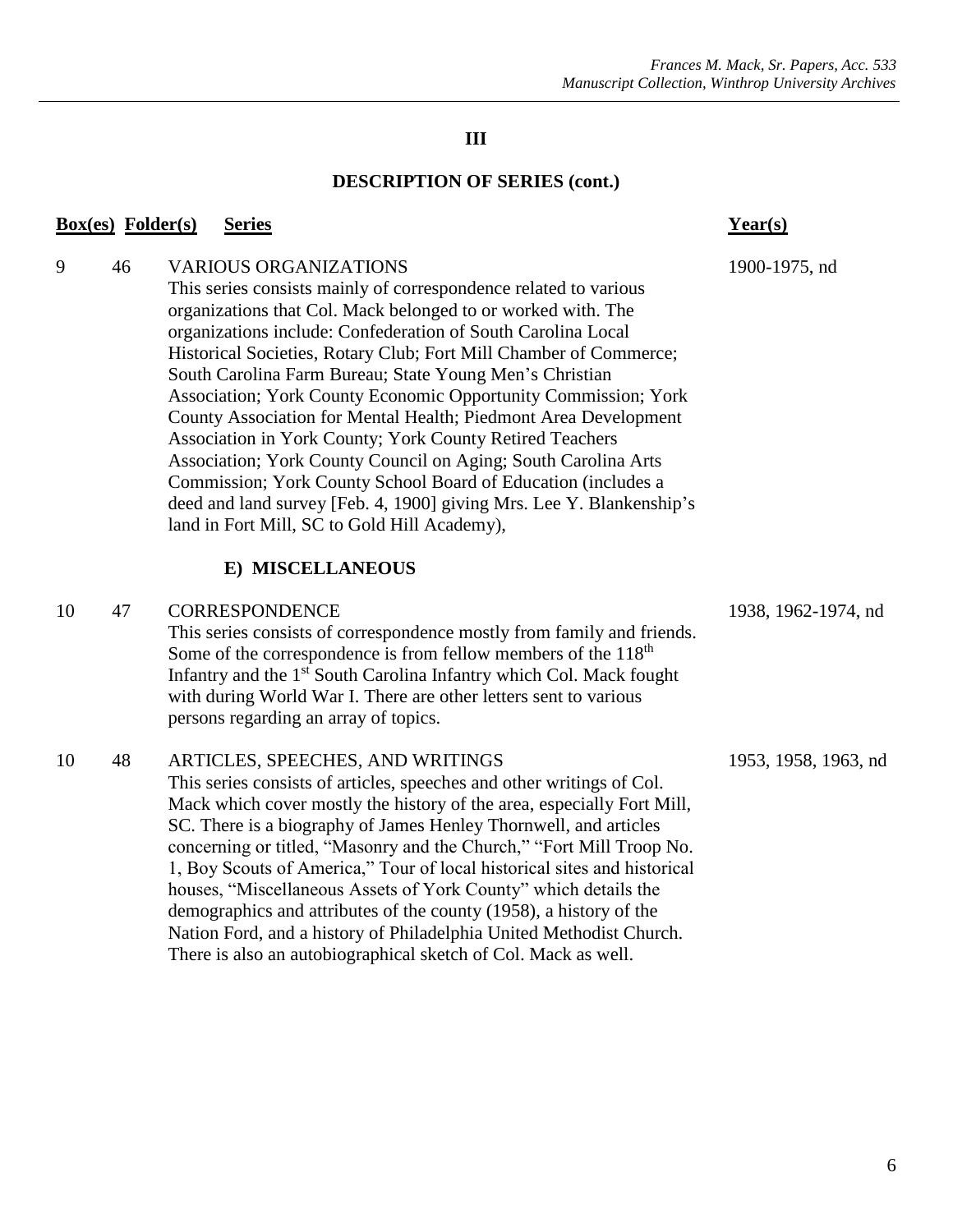|    | <b>Box(es)</b> Folder(s) | <b>Series</b>                                                                                                                                                                                                                                                                                                                                                                                                                                                                                                                                                                                                                                                                                                                                                                                                                                    | $Year(s)$            |
|----|--------------------------|--------------------------------------------------------------------------------------------------------------------------------------------------------------------------------------------------------------------------------------------------------------------------------------------------------------------------------------------------------------------------------------------------------------------------------------------------------------------------------------------------------------------------------------------------------------------------------------------------------------------------------------------------------------------------------------------------------------------------------------------------------------------------------------------------------------------------------------------------|----------------------|
| 9  | 46                       | <b>VARIOUS ORGANIZATIONS</b><br>This series consists mainly of correspondence related to various<br>organizations that Col. Mack belonged to or worked with. The<br>organizations include: Confederation of South Carolina Local<br>Historical Societies, Rotary Club; Fort Mill Chamber of Commerce;<br>South Carolina Farm Bureau; State Young Men's Christian<br>Association; York County Economic Opportunity Commission; York<br>County Association for Mental Health; Piedmont Area Development<br>Association in York County; York County Retired Teachers<br>Association; York County Council on Aging; South Carolina Arts<br>Commission; York County School Board of Education (includes a<br>deed and land survey [Feb. 4, 1900] giving Mrs. Lee Y. Blankenship's<br>land in Fort Mill, SC to Gold Hill Academy),<br>E) MISCELLANEOUS | 1900-1975, nd        |
|    |                          |                                                                                                                                                                                                                                                                                                                                                                                                                                                                                                                                                                                                                                                                                                                                                                                                                                                  |                      |
| 10 | 47                       | <b>CORRESPONDENCE</b><br>This series consists of correspondence mostly from family and friends.<br>Some of the correspondence is from fellow members of the 118 <sup>th</sup><br>Infantry and the 1 <sup>st</sup> South Carolina Infantry which Col. Mack fought<br>with during World War I. There are other letters sent to various<br>persons regarding an array of topics.                                                                                                                                                                                                                                                                                                                                                                                                                                                                    | 1938, 1962-1974, nd  |
| 10 | 48                       | ARTICLES, SPEECHES, AND WRITINGS<br>This series consists of articles, speeches and other writings of Col.<br>Mack which cover mostly the history of the area, especially Fort Mill,<br>SC. There is a biography of James Henley Thornwell, and articles<br>concerning or titled, "Masonry and the Church," "Fort Mill Troop No.<br>1, Boy Scouts of America," Tour of local historical sites and historical<br>houses, "Miscellaneous Assets of York County" which details the<br>demographics and attributes of the county (1958), a history of the<br>Nation Ford, and a history of Philadelphia United Methodist Church.<br>There is also an autobiographical sketch of Col. Mack as well.                                                                                                                                                    | 1953, 1958, 1963, nd |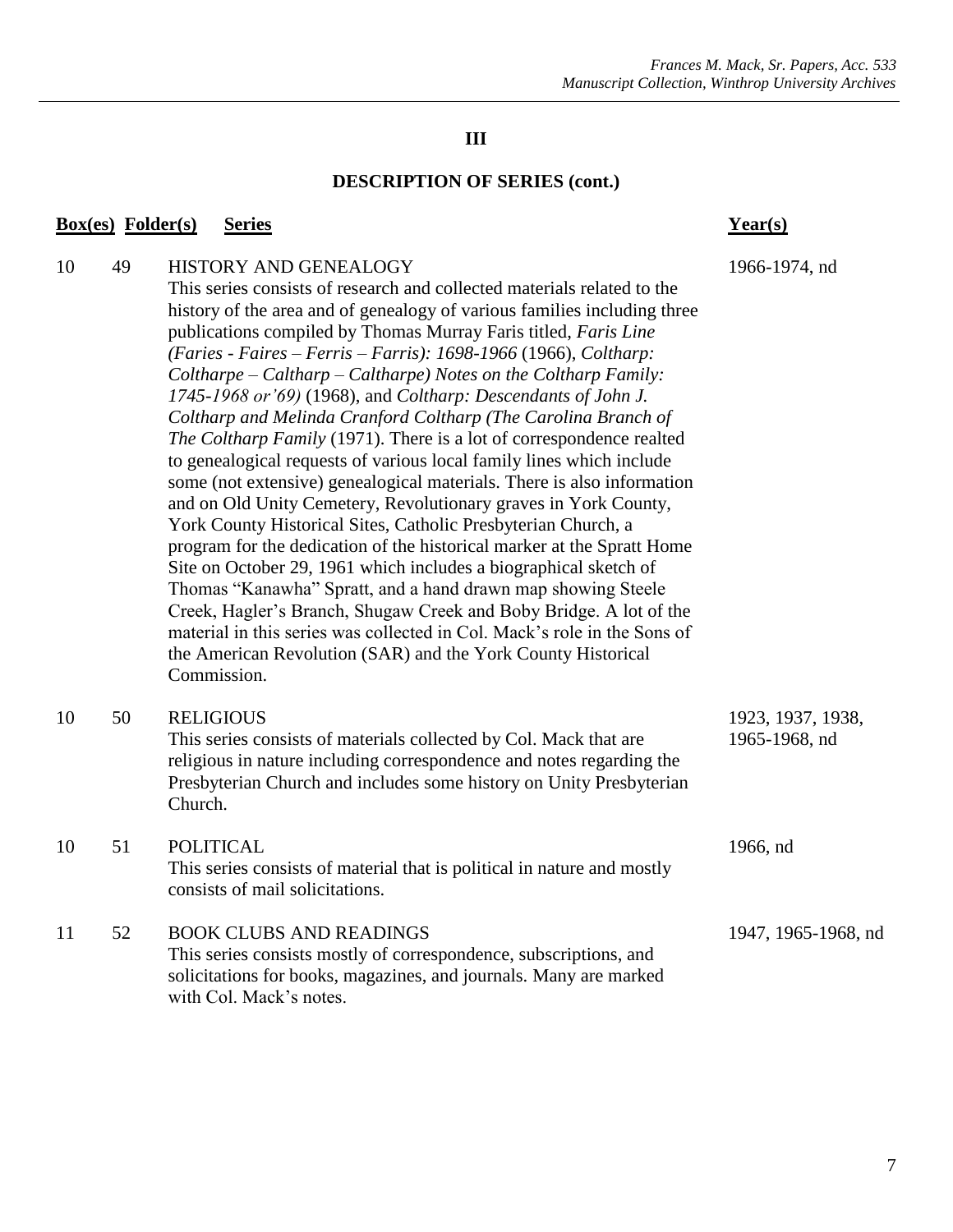## **DESCRIPTION OF SERIES (cont.)**

#### **Box(es) Folder(s) Series Year(s)**

Commission.

with Col. Mack's notes.

| 10 | 49 | HISTORY AND GENEALOGY                                                       | 1966-1974, nd |
|----|----|-----------------------------------------------------------------------------|---------------|
|    |    | This series consists of research and collected materials related to the     |               |
|    |    | history of the area and of genealogy of various families including three    |               |
|    |    | publications compiled by Thomas Murray Faris titled, <i>Faris Line</i>      |               |
|    |    | (Faries - Faires – Ferris – Farris): 1698-1966 (1966), Coltharp:            |               |
|    |    | $Coltharpe - Caltharp - Caltharpe)$ Notes on the Coltharp Family:           |               |
|    |    | 1745-1968 or '69) (1968), and Coltharp: Descendants of John J.              |               |
|    |    | Coltharp and Melinda Cranford Coltharp (The Carolina Branch of              |               |
|    |    | <i>The Coltharp Family</i> (1971). There is a lot of correspondence realted |               |
|    |    | to genealogical requests of various local family lines which include        |               |
|    |    | some (not extensive) genealogical materials. There is also information      |               |
|    |    | and on Old Unity Cemetery, Revolutionary graves in York County,             |               |
|    |    | York County Historical Sites, Catholic Presbyterian Church, a               |               |
|    |    | program for the dedication of the historical marker at the Spratt Home      |               |
|    |    | Site on October 29, 1961 which includes a biographical sketch of            |               |
|    |    | Thomas "Kanawha" Spratt, and a hand drawn map showing Steele                |               |

Creek, Hagler's Branch, Shugaw Creek and Boby Bridge. A lot of the material in this series was collected in Col. Mack's role in the Sons of the American Revolution (SAR) and the York County Historical

solicitations for books, magazines, and journals. Many are marked

| 10 | 50 | <b>RELIGIOUS</b><br>This series consists of materials collected by Col. Mack that are<br>religious in nature including correspondence and notes regarding the<br>Presbyterian Church and includes some history on Unity Presbyterian<br>Church. | 1923, 1937, 1938,<br>1965-1968, nd |
|----|----|-------------------------------------------------------------------------------------------------------------------------------------------------------------------------------------------------------------------------------------------------|------------------------------------|
| 10 | 51 | <b>POLITICAL</b><br>This series consists of material that is political in nature and mostly<br>consists of mail solicitations.                                                                                                                  | 1966, nd                           |
| 11 | 52 | <b>BOOK CLUBS AND READINGS</b><br>This series consists mostly of correspondence, subscriptions, and                                                                                                                                             | 1947, 1965-1968, nd                |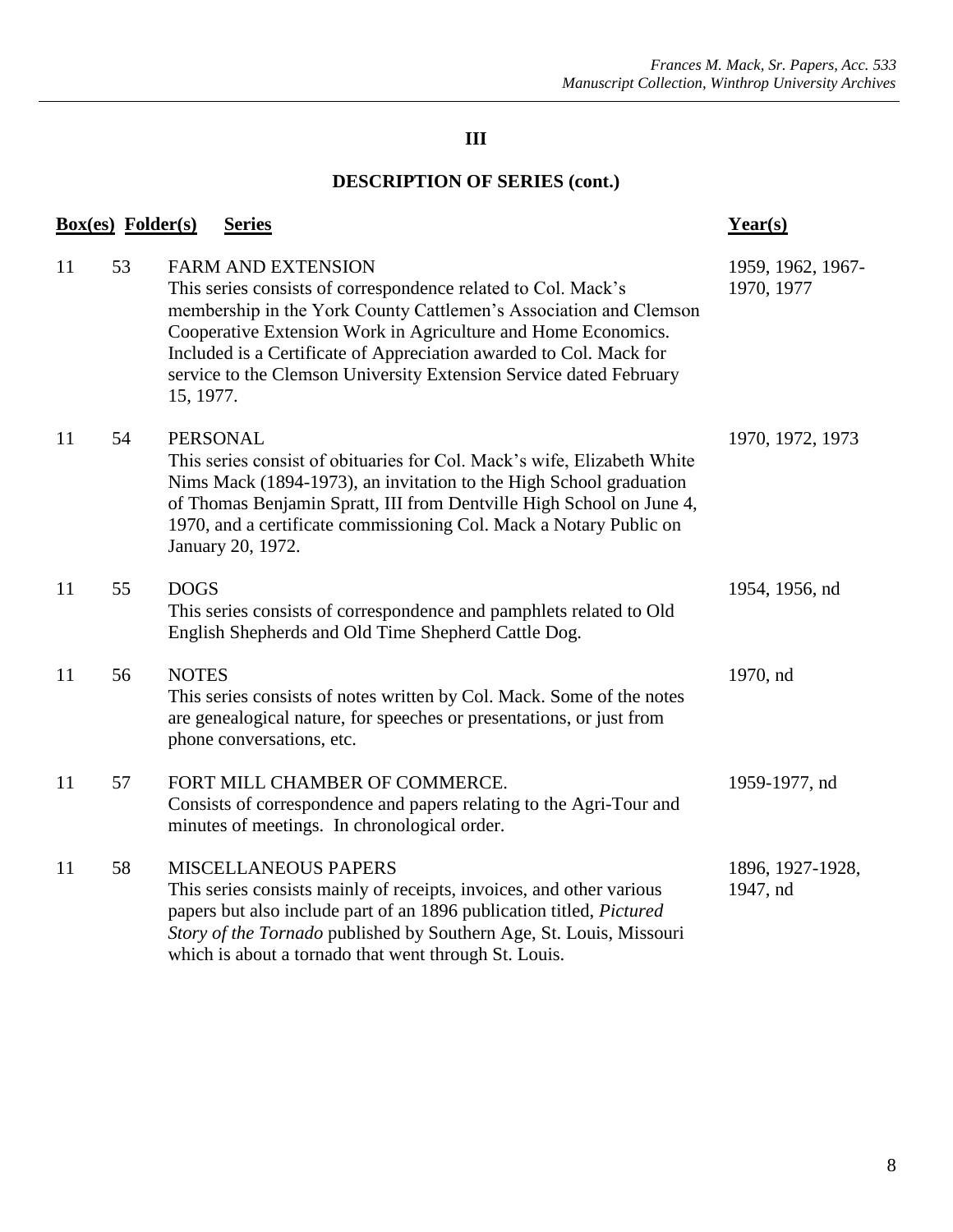| <b>Box(es)</b> Folder(s) |    | <b>Series</b>                                                                                                                                                                                                                                                                                                                                                                             | $Year(s)$                       |
|--------------------------|----|-------------------------------------------------------------------------------------------------------------------------------------------------------------------------------------------------------------------------------------------------------------------------------------------------------------------------------------------------------------------------------------------|---------------------------------|
| 11                       | 53 | <b>FARM AND EXTENSION</b><br>This series consists of correspondence related to Col. Mack's<br>membership in the York County Cattlemen's Association and Clemson<br>Cooperative Extension Work in Agriculture and Home Economics.<br>Included is a Certificate of Appreciation awarded to Col. Mack for<br>service to the Clemson University Extension Service dated February<br>15, 1977. | 1959, 1962, 1967-<br>1970, 1977 |
| 11                       | 54 | <b>PERSONAL</b><br>This series consist of obituaries for Col. Mack's wife, Elizabeth White<br>Nims Mack (1894-1973), an invitation to the High School graduation<br>of Thomas Benjamin Spratt, III from Dentville High School on June 4,<br>1970, and a certificate commissioning Col. Mack a Notary Public on<br>January 20, 1972.                                                       | 1970, 1972, 1973                |
| 11                       | 55 | <b>DOGS</b><br>This series consists of correspondence and pamphlets related to Old<br>English Shepherds and Old Time Shepherd Cattle Dog.                                                                                                                                                                                                                                                 | 1954, 1956, nd                  |
| 11                       | 56 | <b>NOTES</b><br>This series consists of notes written by Col. Mack. Some of the notes<br>are genealogical nature, for speeches or presentations, or just from<br>phone conversations, etc.                                                                                                                                                                                                | 1970, nd                        |
| 11                       | 57 | FORT MILL CHAMBER OF COMMERCE.<br>Consists of correspondence and papers relating to the Agri-Tour and<br>minutes of meetings. In chronological order.                                                                                                                                                                                                                                     | 1959-1977, nd                   |
| 11                       | 58 | <b>MISCELLANEOUS PAPERS</b><br>This series consists mainly of receipts, invoices, and other various<br>papers but also include part of an 1896 publication titled, Pictured<br>Story of the Tornado published by Southern Age, St. Louis, Missouri<br>which is about a tornado that went through St. Louis.                                                                               | 1896, 1927-1928,<br>1947, nd    |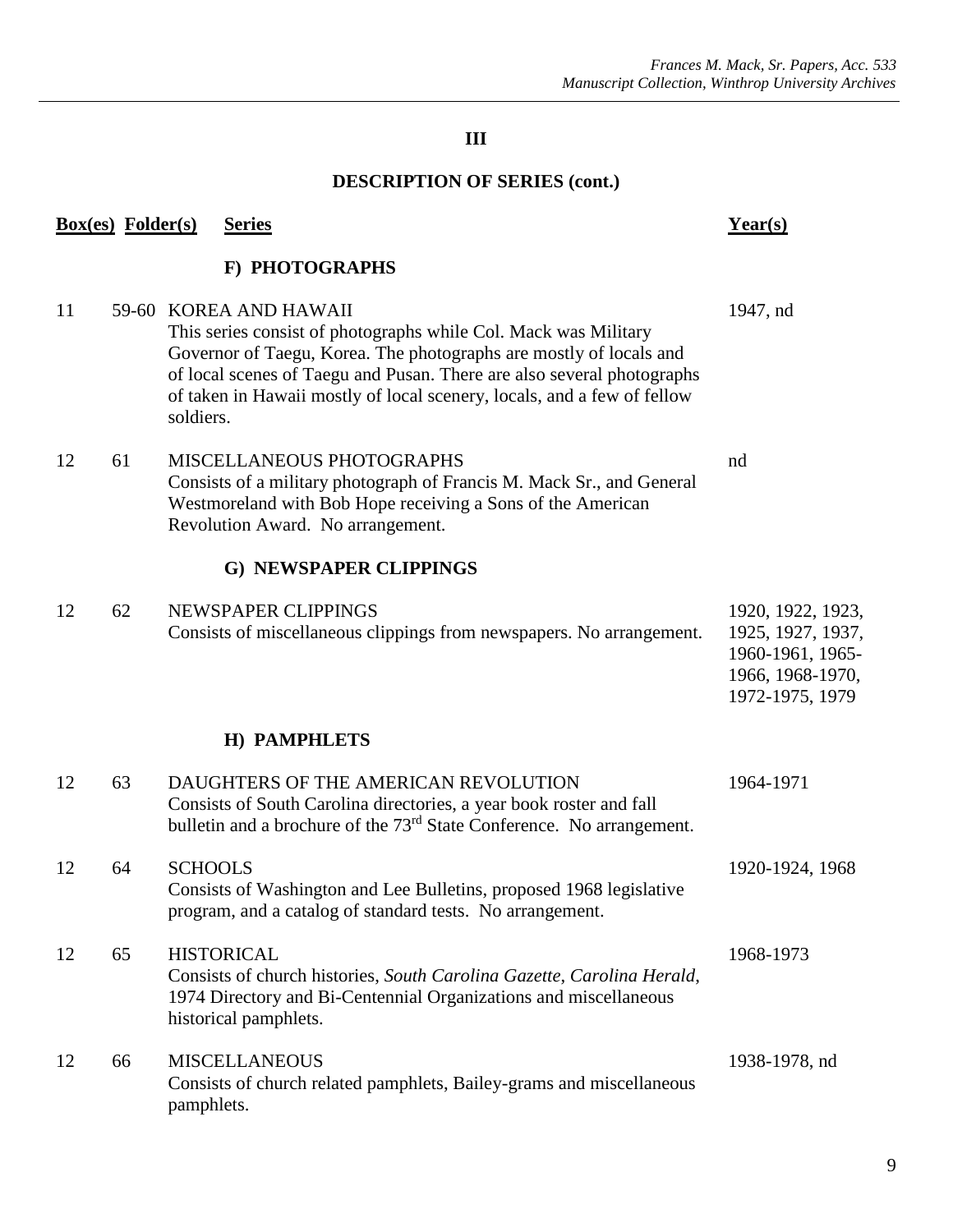|    | <b>Box(es)</b> Folder(s) |                | <b>Series</b>                                                                                                                                                                                                                                                                                                        | Year(s)                                                                                           |
|----|--------------------------|----------------|----------------------------------------------------------------------------------------------------------------------------------------------------------------------------------------------------------------------------------------------------------------------------------------------------------------------|---------------------------------------------------------------------------------------------------|
|    |                          |                | F) PHOTOGRAPHS                                                                                                                                                                                                                                                                                                       |                                                                                                   |
| 11 |                          | soldiers.      | 59-60 KOREA AND HAWAII<br>This series consist of photographs while Col. Mack was Military<br>Governor of Taegu, Korea. The photographs are mostly of locals and<br>of local scenes of Taegu and Pusan. There are also several photographs<br>of taken in Hawaii mostly of local scenery, locals, and a few of fellow | 1947, nd                                                                                          |
| 12 | 61                       |                | MISCELLANEOUS PHOTOGRAPHS<br>Consists of a military photograph of Francis M. Mack Sr., and General<br>Westmoreland with Bob Hope receiving a Sons of the American<br>Revolution Award. No arrangement.                                                                                                               | nd                                                                                                |
|    |                          |                | G) NEWSPAPER CLIPPINGS                                                                                                                                                                                                                                                                                               |                                                                                                   |
| 12 | 62                       |                | NEWSPAPER CLIPPINGS<br>Consists of miscellaneous clippings from newspapers. No arrangement.                                                                                                                                                                                                                          | 1920, 1922, 1923,<br>1925, 1927, 1937,<br>1960-1961, 1965-<br>1966, 1968-1970,<br>1972-1975, 1979 |
|    |                          |                | H) PAMPHLETS                                                                                                                                                                                                                                                                                                         |                                                                                                   |
| 12 | 63                       |                | DAUGHTERS OF THE AMERICAN REVOLUTION<br>Consists of South Carolina directories, a year book roster and fall<br>bulletin and a brochure of the 73 <sup>rd</sup> State Conference. No arrangement.                                                                                                                     | 1964-1971                                                                                         |
| 12 | 64                       | <b>SCHOOLS</b> | Consists of Washington and Lee Bulletins, proposed 1968 legislative<br>program, and a catalog of standard tests. No arrangement.                                                                                                                                                                                     | 1920-1924, 1968                                                                                   |
| 12 | 65                       |                | <b>HISTORICAL</b><br>Consists of church histories, South Carolina Gazette, Carolina Herald,<br>1974 Directory and Bi-Centennial Organizations and miscellaneous<br>historical pamphlets.                                                                                                                             | 1968-1973                                                                                         |
| 12 | 66                       | pamphlets.     | <b>MISCELLANEOUS</b><br>Consists of church related pamphlets, Bailey-grams and miscellaneous                                                                                                                                                                                                                         | 1938-1978, nd                                                                                     |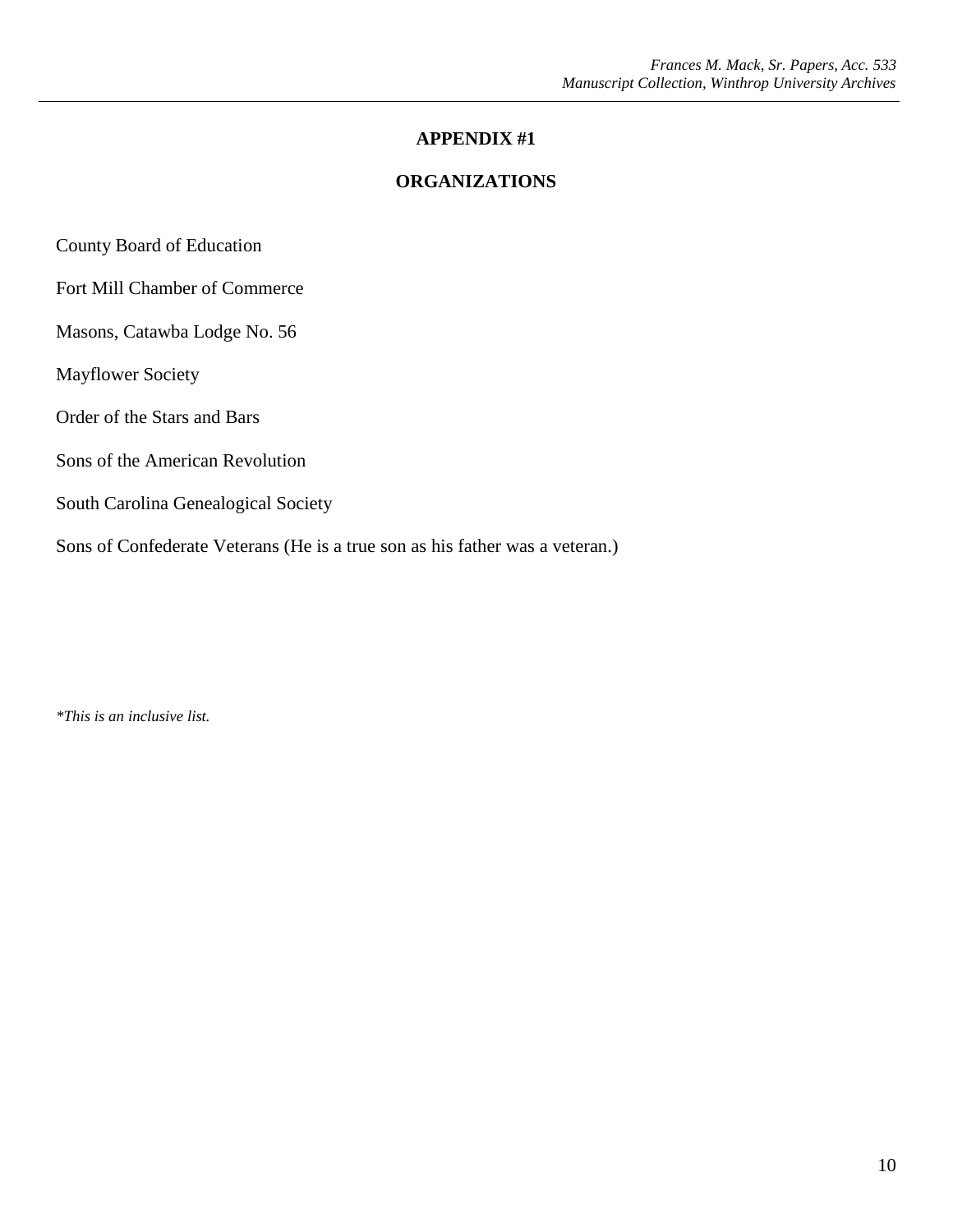#### **APPENDIX #1**

#### **ORGANIZATIONS**

County Board of Education

Fort Mill Chamber of Commerce

Masons, Catawba Lodge No. 56

Mayflower Society

Order of the Stars and Bars

Sons of the American Revolution

South Carolina Genealogical Society

Sons of Confederate Veterans (He is a true son as his father was a veteran.)

*\*This is an inclusive list.*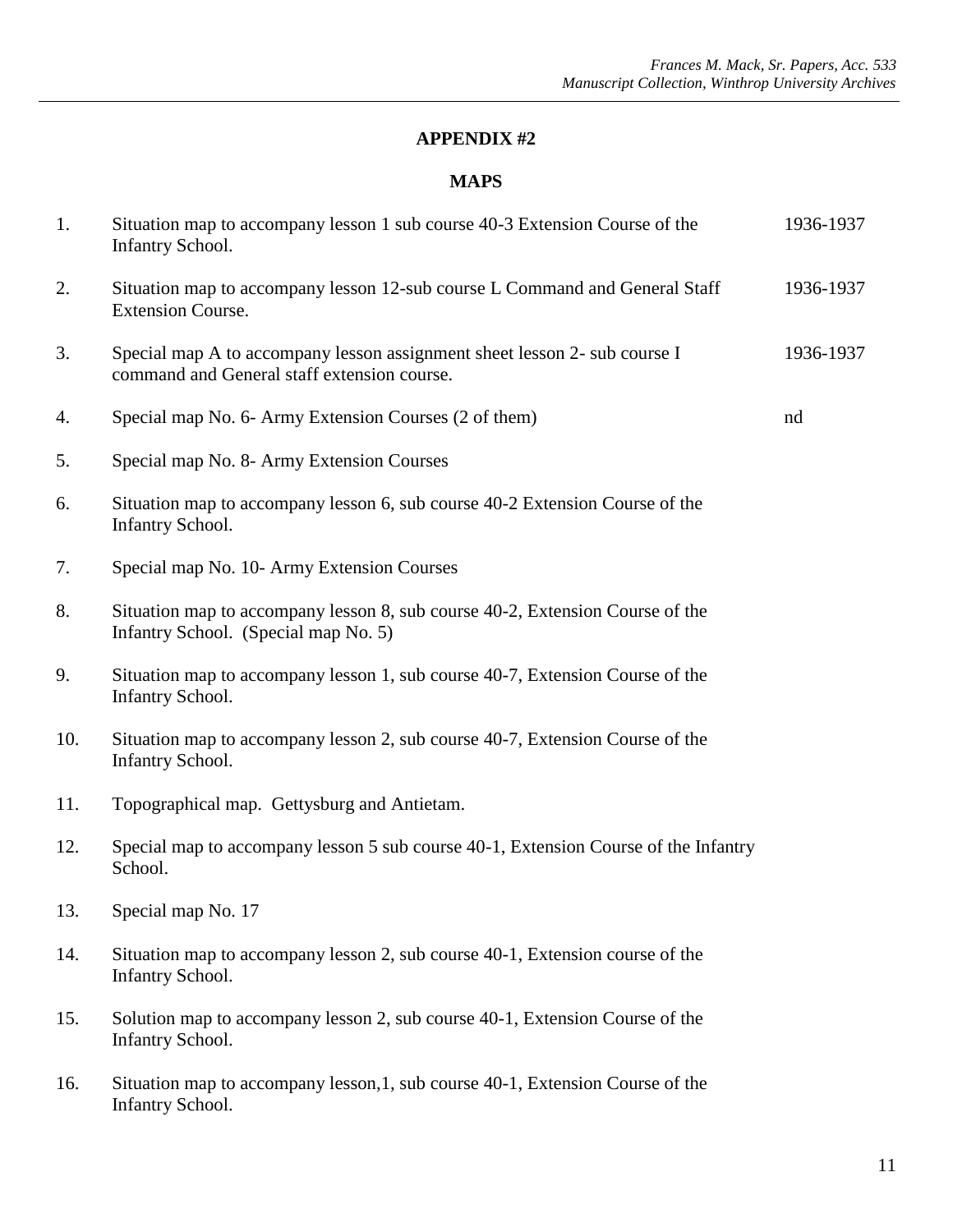#### **APPENDIX #2**

| 1.  | Situation map to accompany lesson 1 sub course 40-3 Extension Course of the<br>Infantry School.                          | 1936-1937 |
|-----|--------------------------------------------------------------------------------------------------------------------------|-----------|
| 2.  | Situation map to accompany lesson 12-sub course L Command and General Staff<br><b>Extension Course.</b>                  | 1936-1937 |
| 3.  | Special map A to accompany lesson assignment sheet lesson 2- sub course I<br>command and General staff extension course. | 1936-1937 |
| 4.  | Special map No. 6- Army Extension Courses (2 of them)                                                                    | nd        |
| 5.  | Special map No. 8- Army Extension Courses                                                                                |           |
| 6.  | Situation map to accompany lesson 6, sub course 40-2 Extension Course of the<br><b>Infantry School.</b>                  |           |
| 7.  | Special map No. 10- Army Extension Courses                                                                               |           |
| 8.  | Situation map to accompany lesson 8, sub course 40-2, Extension Course of the<br>Infantry School. (Special map No. 5)    |           |
| 9.  | Situation map to accompany lesson 1, sub course 40-7, Extension Course of the<br><b>Infantry School.</b>                 |           |
| 10. | Situation map to accompany lesson 2, sub course 40-7, Extension Course of the<br><b>Infantry School.</b>                 |           |
| 11. | Topographical map. Gettysburg and Antietam.                                                                              |           |
| 12. | Special map to accompany lesson 5 sub course 40-1, Extension Course of the Infantry<br>School.                           |           |
| 13. | Special map No. 17                                                                                                       |           |
| 14. | Situation map to accompany lesson 2, sub course 40-1, Extension course of the<br><b>Infantry School.</b>                 |           |
| 15. | Solution map to accompany lesson 2, sub course 40-1, Extension Course of the<br><b>Infantry School.</b>                  |           |
| 16. | Situation map to accompany lesson, 1, sub course 40-1, Extension Course of the<br><b>Infantry School.</b>                |           |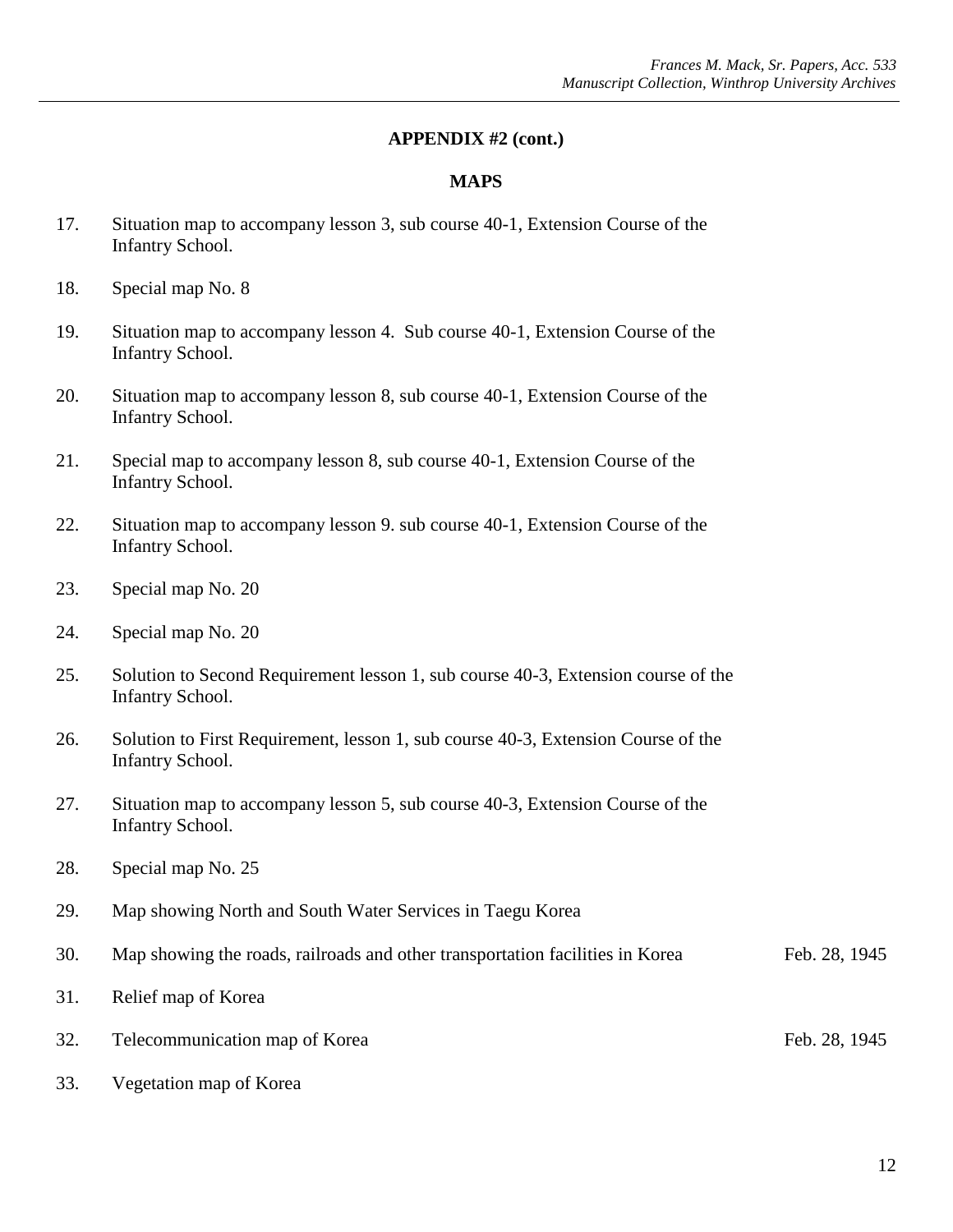- 17. Situation map to accompany lesson 3, sub course 40-1, Extension Course of the Infantry School.
- 18. Special map No. 8
- 19. Situation map to accompany lesson 4. Sub course 40-1, Extension Course of the Infantry School.
- 20. Situation map to accompany lesson 8, sub course 40-1, Extension Course of the Infantry School.
- 21. Special map to accompany lesson 8, sub course 40-1, Extension Course of the Infantry School.
- 22. Situation map to accompany lesson 9. sub course 40-1, Extension Course of the Infantry School.
- 23. Special map No. 20
- 24. Special map No. 20
- 25. Solution to Second Requirement lesson 1, sub course 40-3, Extension course of the Infantry School.
- 26. Solution to First Requirement, lesson 1, sub course 40-3, Extension Course of the Infantry School.
- 27. Situation map to accompany lesson 5, sub course 40-3, Extension Course of the Infantry School.
- 28. Special map No. 25
- 29. Map showing North and South Water Services in Taegu Korea
- 30. Map showing the roads, railroads and other transportation facilities in Korea Feb. 28, 1945
- 31. Relief map of Korea
- 32. Telecommunication map of Korea Feb. 28, 1945
- 33. Vegetation map of Korea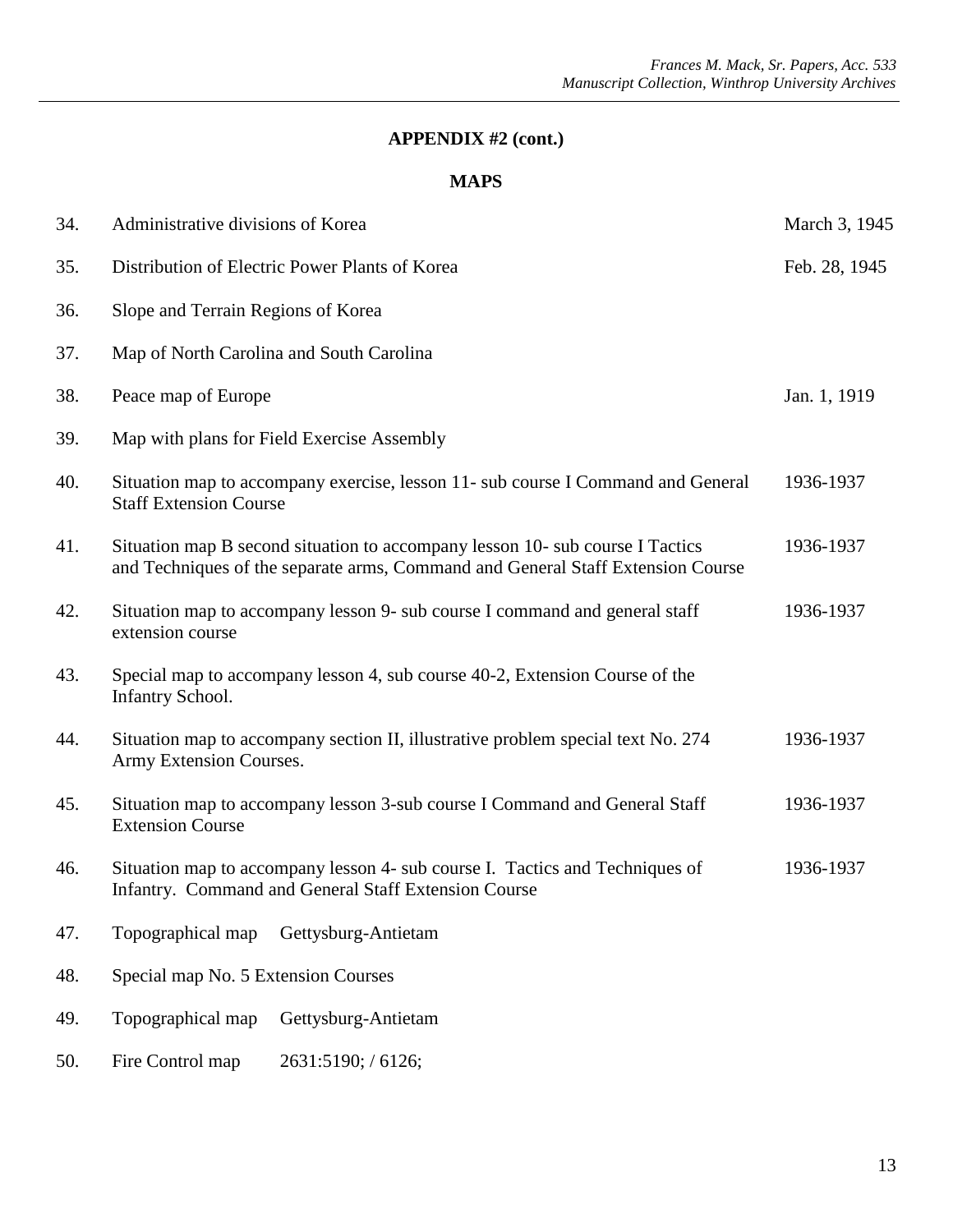| 34. | Administrative divisions of Korea                                                                                                                                | March 3, 1945 |
|-----|------------------------------------------------------------------------------------------------------------------------------------------------------------------|---------------|
| 35. | Distribution of Electric Power Plants of Korea                                                                                                                   | Feb. 28, 1945 |
| 36. | Slope and Terrain Regions of Korea                                                                                                                               |               |
| 37. | Map of North Carolina and South Carolina                                                                                                                         |               |
| 38. | Peace map of Europe                                                                                                                                              | Jan. 1, 1919  |
| 39. | Map with plans for Field Exercise Assembly                                                                                                                       |               |
| 40. | Situation map to accompany exercise, lesson 11- sub course I Command and General<br><b>Staff Extension Course</b>                                                | 1936-1937     |
| 41. | Situation map B second situation to accompany lesson 10- sub course I Tactics<br>and Techniques of the separate arms, Command and General Staff Extension Course | 1936-1937     |
| 42. | Situation map to accompany lesson 9- sub course I command and general staff<br>extension course                                                                  | 1936-1937     |
| 43. | Special map to accompany lesson 4, sub course 40-2, Extension Course of the<br>Infantry School.                                                                  |               |
| 44. | Situation map to accompany section II, illustrative problem special text No. 274<br>Army Extension Courses.                                                      | 1936-1937     |
| 45. | Situation map to accompany lesson 3-sub course I Command and General Staff<br><b>Extension Course</b>                                                            | 1936-1937     |
| 46. | Situation map to accompany lesson 4- sub course I. Tactics and Techniques of<br>Infantry. Command and General Staff Extension Course                             | 1936-1937     |
| 47. | Topographical map<br>Gettysburg-Antietam                                                                                                                         |               |
| 48. | Special map No. 5 Extension Courses                                                                                                                              |               |
| 49. | Topographical map<br>Gettysburg-Antietam                                                                                                                         |               |
| 50. | Fire Control map<br>2631:5190; / 6126;                                                                                                                           |               |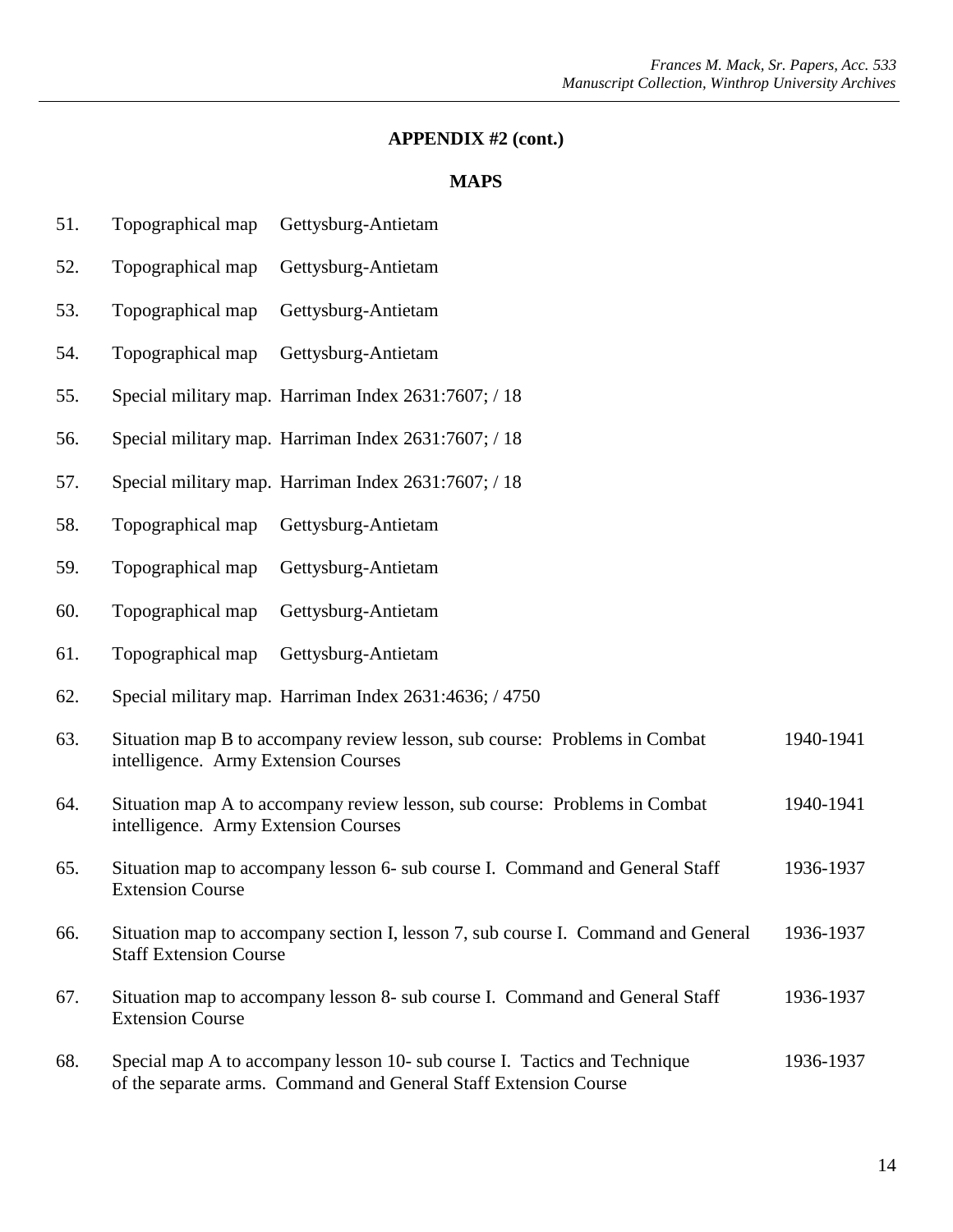- 51. Topographical map Gettysburg-Antietam
- 52. Topographical map Gettysburg-Antietam
- 53. Topographical map Gettysburg-Antietam
- 54. Topographical map Gettysburg-Antietam
- 55. Special military map. Harriman Index 2631:7607; / 18
- 56. Special military map. Harriman Index 2631:7607; / 18
- 57. Special military map. Harriman Index 2631:7607; / 18
- 58. Topographical map Gettysburg-Antietam
- 59. Topographical map Gettysburg-Antietam
- 60. Topographical map Gettysburg-Antietam
- 61. Topographical map Gettysburg-Antietam
- 62. Special military map. Harriman Index 2631:4636; / 4750
- 63. Situation map B to accompany review lesson, sub course: Problems in Combat 1940-1941 intelligence. Army Extension Courses
- 64. Situation map A to accompany review lesson, sub course: Problems in Combat 1940-1941 intelligence. Army Extension Courses
- 65. Situation map to accompany lesson 6- sub course I. Command and General Staff 1936-1937 Extension Course
- 66. Situation map to accompany section I, lesson 7, sub course I. Command and General 1936-1937 Staff Extension Course
- 67. Situation map to accompany lesson 8- sub course I. Command and General Staff 1936-1937 Extension Course
- 68. Special map A to accompany lesson 10- sub course I. Tactics and Technique 1936-1937 of the separate arms. Command and General Staff Extension Course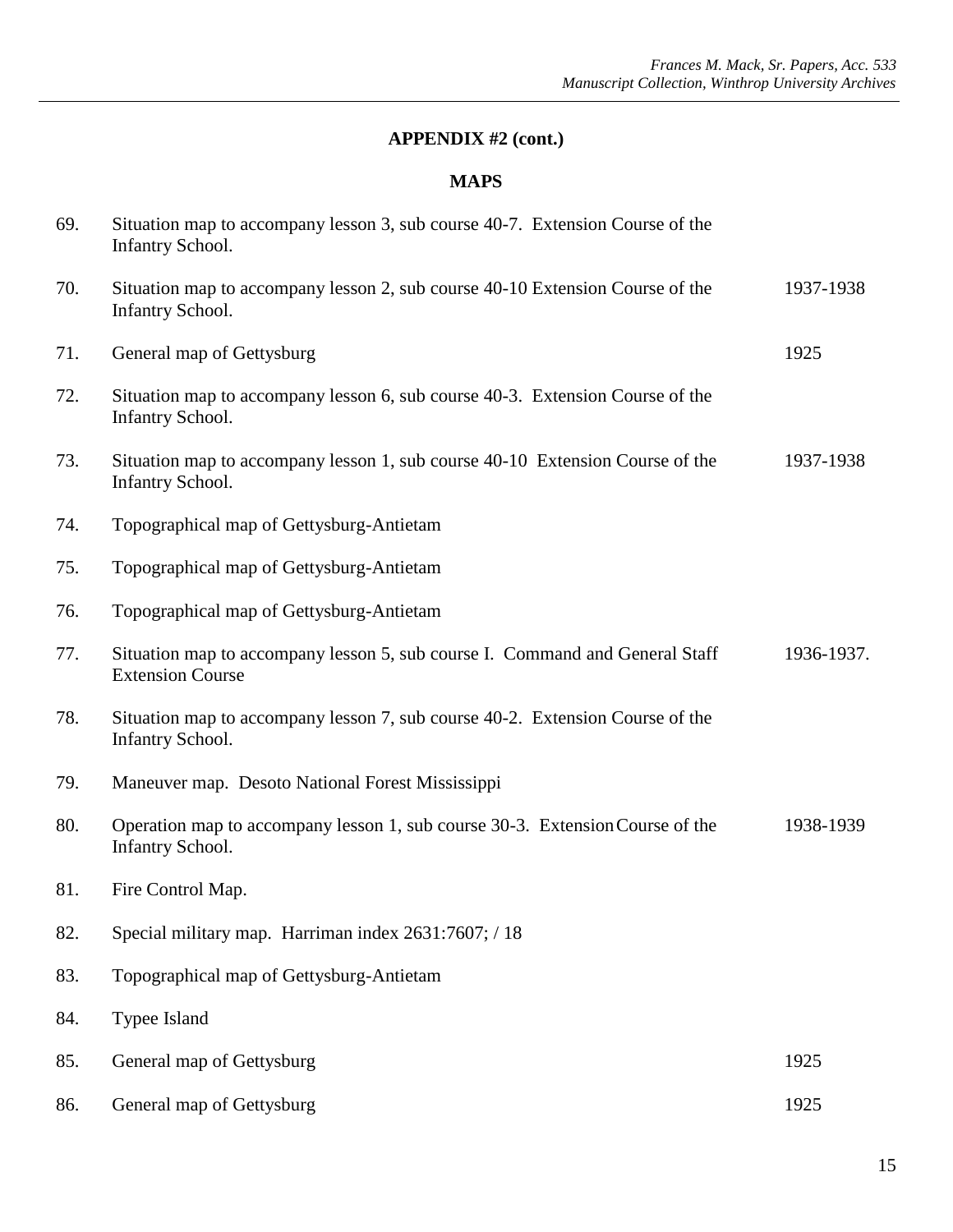| 69. | Situation map to accompany lesson 3, sub course 40-7. Extension Course of the<br><b>Infantry School.</b> |            |
|-----|----------------------------------------------------------------------------------------------------------|------------|
| 70. | Situation map to accompany lesson 2, sub course 40-10 Extension Course of the<br><b>Infantry School.</b> | 1937-1938  |
| 71. | General map of Gettysburg                                                                                | 1925       |
| 72. | Situation map to accompany lesson 6, sub course 40-3. Extension Course of the<br><b>Infantry School.</b> |            |
| 73. | Situation map to accompany lesson 1, sub course 40-10 Extension Course of the<br><b>Infantry School.</b> | 1937-1938  |
| 74. | Topographical map of Gettysburg-Antietam                                                                 |            |
| 75. | Topographical map of Gettysburg-Antietam                                                                 |            |
| 76. | Topographical map of Gettysburg-Antietam                                                                 |            |
| 77. | Situation map to accompany lesson 5, sub course I. Command and General Staff<br><b>Extension Course</b>  | 1936-1937. |
| 78. | Situation map to accompany lesson 7, sub course 40-2. Extension Course of the<br><b>Infantry School.</b> |            |
| 79. | Maneuver map. Desoto National Forest Mississippi                                                         |            |
| 80. | Operation map to accompany lesson 1, sub course 30-3. Extension Course of the<br><b>Infantry School.</b> | 1938-1939  |
| 81. | Fire Control Map.                                                                                        |            |
| 82. | Special military map. Harriman index 2631:7607; / 18                                                     |            |
| 83. | Topographical map of Gettysburg-Antietam                                                                 |            |
| 84. | Typee Island                                                                                             |            |
| 85. | General map of Gettysburg                                                                                | 1925       |
| 86. | General map of Gettysburg                                                                                | 1925       |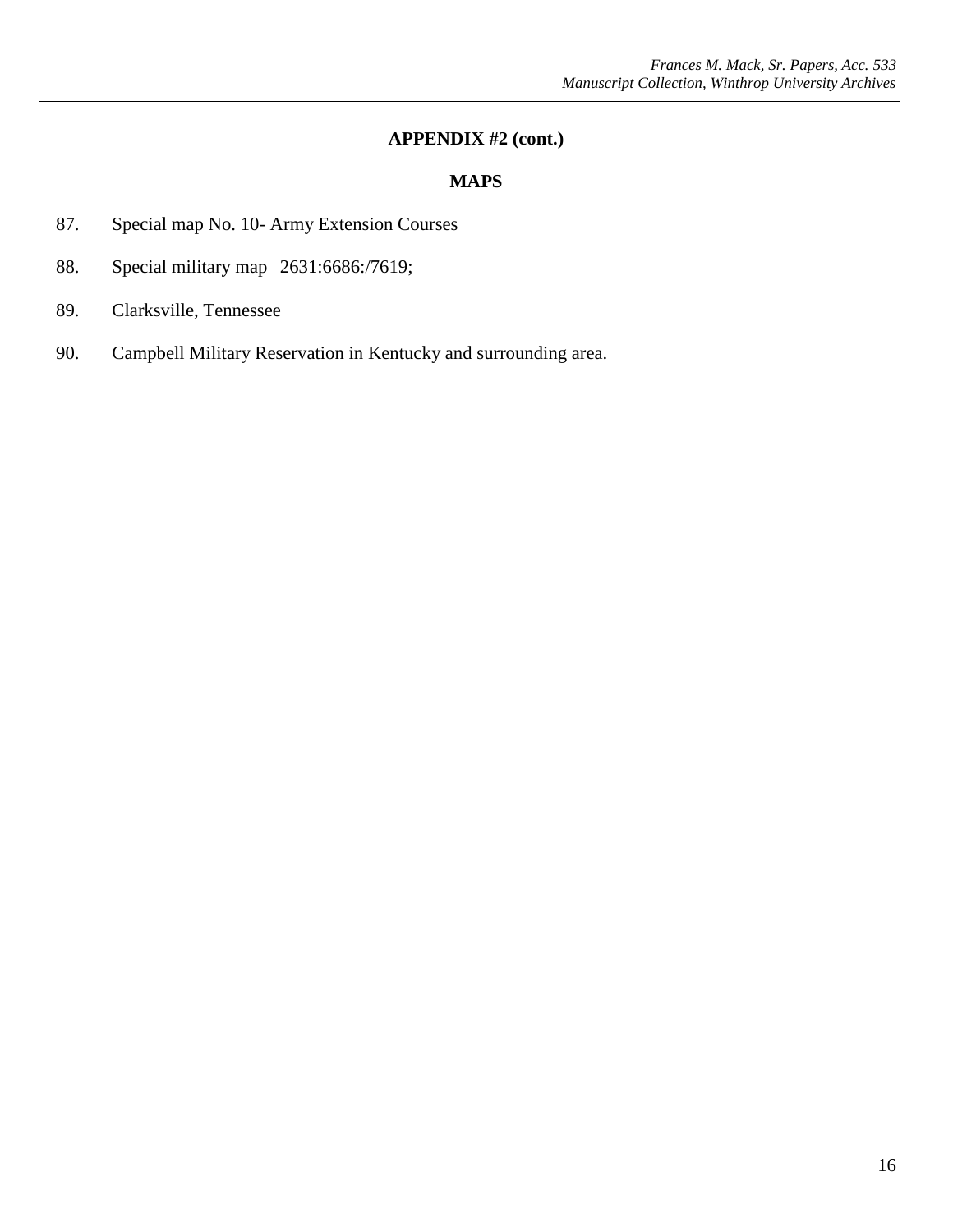- 87. Special map No. 10- Army Extension Courses
- 88. Special military map 2631:6686:/7619;
- 89. Clarksville, Tennessee
- 90. Campbell Military Reservation in Kentucky and surrounding area.